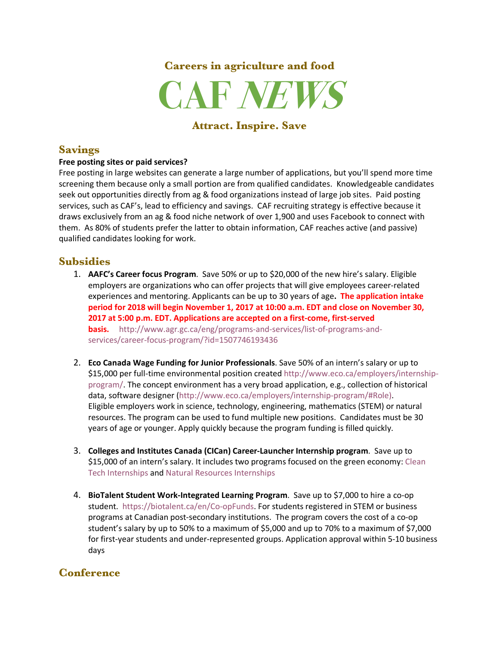## **Careers in agriculture and food**



### **Attract. Inspire. Save**

#### **Savings**

#### **Free posting sites or paid services?**

Free posting in large websites can generate a large number of applications, but you'll spend more time screening them because only a small portion are from qualified candidates. Knowledgeable candidates seek out opportunities directly from ag & food organizations instead of large job sites. Paid posting services, such as CAF's, lead to efficiency and savings. CAF recruiting strategy is effective because it draws exclusively from an ag & food niche network of over 1,900 and uses Facebook to connect with them. As 80% of students prefer the latter to obtain information, CAF reaches active (and passive) qualified candidates looking for work.

#### **Subsidies**

- 1. **AAFC's Career focus Program**. Save 50% or up to \$20,000 of the new hire's salary. Eligible employers are organizations who can offer projects that will give employees career-related experiences and mentoring. Applicants can be up to 30 years of age**. The application intake period for 2018 will begin November 1, 2017 at 10:00 a.m. EDT and close on November 30, 2017 at 5:00 p.m. EDT. Applications are accepted on a first-come, first-served basis.** http://www.agr.gc.ca/eng/programs-and-services/list-of-programs-andservices/career-focus-program/?id=1507746193436
- 2. **Eco Canada Wage Funding for Junior Professionals**. Save 50% of an intern's salary or up to \$15,000 per full-time environmental position created http://www.eco.ca/employers/internshipprogram/. The concept environment has a very broad application, e.g., collection of historical data, software designer (http://www.eco.ca/employers/internship-program/#Role). Eligible employers work in science, technology, engineering, mathematics (STEM) or natural resources. The program can be used to fund multiple new positions. Candidates must be 30 years of age or younger. Apply quickly because the program funding is filled quickly.
- 3. **Colleges and Institutes Canada (CICan) Career-Launcher Internship program**. Save up to \$15,000 of an intern's salary. It includes two programs focused on the green economy: Clean Tech Internships and Natural Resources Internships
- 4. **BioTalent Student Work-Integrated Learning Program**. Save up to \$7,000 to hire a co-op student. https://biotalent.ca/en/Co-opFunds. For students registered in STEM or business programs at Canadian post-secondary institutions. The program covers the cost of a co-op student's salary by up to 50% to a maximum of \$5,000 and up to 70% to a maximum of \$7,000 for first-year students and under-represented groups. Application approval within 5-10 business days

#### **Conference**